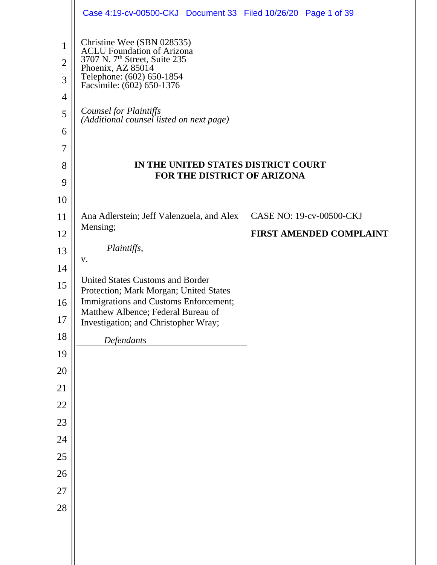|                                     | Case 4:19-cv-00500-CKJ Document 33 Filed 10/26/20 Page 1 of 39                                                                                                                              |                                |
|-------------------------------------|---------------------------------------------------------------------------------------------------------------------------------------------------------------------------------------------|--------------------------------|
| $\mathbf{1}$<br>$\overline{2}$<br>3 | Christine Wee (SBN 028535)<br><b>ACLU</b> Foundation of Arizona<br>3707 N. 7 <sup>th</sup> Street, Suite 235<br>Phoenix, AZ 85014<br>Telephone: (602) 650-1854<br>Facsimile: (602) 650-1376 |                                |
| 4                                   | <b>Counsel for Plaintiffs</b>                                                                                                                                                               |                                |
| 5                                   | (Additional counsel listed on next page)                                                                                                                                                    |                                |
| 6<br>7                              |                                                                                                                                                                                             |                                |
| 8                                   | IN THE UNITED STATES DISTRICT COURT                                                                                                                                                         |                                |
| 9                                   | FOR THE DISTRICT OF ARIZONA                                                                                                                                                                 |                                |
| 10                                  |                                                                                                                                                                                             |                                |
| 11                                  | Ana Adlerstein; Jeff Valenzuela, and Alex                                                                                                                                                   | CASE NO: 19-cv-00500-CKJ       |
| 12                                  | Mensing;                                                                                                                                                                                    | <b>FIRST AMENDED COMPLAINT</b> |
| 13                                  | Plaintiffs,<br>V.                                                                                                                                                                           |                                |
| 14                                  |                                                                                                                                                                                             |                                |
| 15                                  | <b>United States Customs and Border</b><br>Protection; Mark Morgan; United States                                                                                                           |                                |
| 16                                  | Immigrations and Customs Enforcement;<br>Matthew Albence; Federal Bureau of                                                                                                                 |                                |
| 17                                  | Investigation; and Christopher Wray;                                                                                                                                                        |                                |
| 18                                  | Defendants                                                                                                                                                                                  |                                |
| 19                                  |                                                                                                                                                                                             |                                |
| 20                                  |                                                                                                                                                                                             |                                |
| 21                                  |                                                                                                                                                                                             |                                |
| 22<br>23                            |                                                                                                                                                                                             |                                |
| 24                                  |                                                                                                                                                                                             |                                |
| 25                                  |                                                                                                                                                                                             |                                |
| 26                                  |                                                                                                                                                                                             |                                |
| $27\,$                              |                                                                                                                                                                                             |                                |
| 28                                  |                                                                                                                                                                                             |                                |
|                                     |                                                                                                                                                                                             |                                |
|                                     |                                                                                                                                                                                             |                                |

 $\parallel$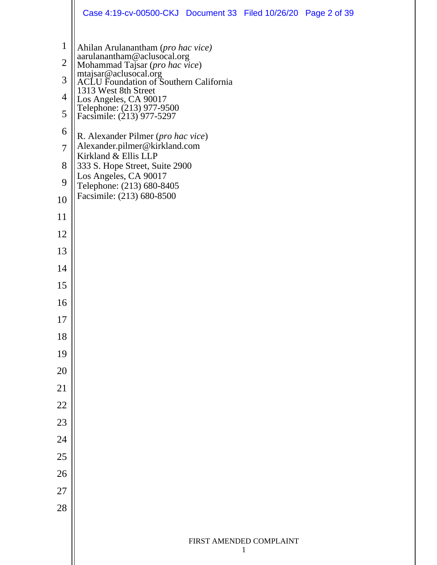|                | Case 4:19-cv-00500-CKJ Document 33 Filed 10/26/20 Page 2 of 39                                                                                                                                                                              |
|----------------|---------------------------------------------------------------------------------------------------------------------------------------------------------------------------------------------------------------------------------------------|
| $\mathbf{1}$   | Ahilan Arulanantham (pro hac vice)                                                                                                                                                                                                          |
| $\overline{2}$ | aarulanantham@aclusocal.org<br>Mohammad Tajsar (pro hac vice)<br>mtajsar@aclusocal.org<br>ACLU Foundation of Southern California<br>1313 West 8th Street<br>Los Angeles, CA 90017<br>Telephone: (213) 977-9500<br>Facsimile: (213) 977-5297 |
| 3              |                                                                                                                                                                                                                                             |
| 4<br>5         |                                                                                                                                                                                                                                             |
| 6              |                                                                                                                                                                                                                                             |
| $\overline{7}$ | R. Alexander Pilmer (pro hac vice)<br>Alexander.pilmer@kirkland.com                                                                                                                                                                         |
| 8              | Kirkland & Ellis LLP<br>333 S. Hope Street, Suite 2900                                                                                                                                                                                      |
| 9              | Los Angeles, CA 90017<br>Telephone: (213) 680-8405                                                                                                                                                                                          |
| 10             | Facsimile: (213) 680-8500                                                                                                                                                                                                                   |
| 11             |                                                                                                                                                                                                                                             |
| 12             |                                                                                                                                                                                                                                             |
| 13             |                                                                                                                                                                                                                                             |
| 14             |                                                                                                                                                                                                                                             |
| 15             |                                                                                                                                                                                                                                             |
| 16             |                                                                                                                                                                                                                                             |
| 17             |                                                                                                                                                                                                                                             |
| 18             |                                                                                                                                                                                                                                             |
| 19             |                                                                                                                                                                                                                                             |
| 20             |                                                                                                                                                                                                                                             |
| 21             |                                                                                                                                                                                                                                             |
| 22             |                                                                                                                                                                                                                                             |
| 23             |                                                                                                                                                                                                                                             |
| 24             |                                                                                                                                                                                                                                             |
| 25             |                                                                                                                                                                                                                                             |
| 26             |                                                                                                                                                                                                                                             |
| 27             |                                                                                                                                                                                                                                             |
| 28             |                                                                                                                                                                                                                                             |
|                |                                                                                                                                                                                                                                             |
|                | FIRST AMENDED COMPLAINT<br>$\mathbf{1}$                                                                                                                                                                                                     |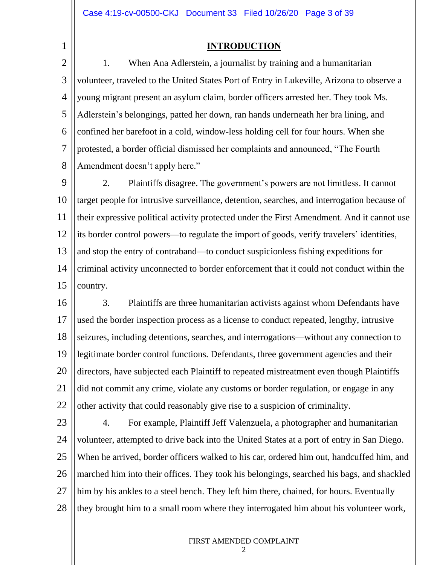1

### **INTRODUCTION**

2 3 4 5 6 7 8 1. When Ana Adlerstein, a journalist by training and a humanitarian volunteer, traveled to the United States Port of Entry in Lukeville, Arizona to observe a young migrant present an asylum claim, border officers arrested her. They took Ms. Adlerstein's belongings, patted her down, ran hands underneath her bra lining, and confined her barefoot in a cold, window-less holding cell for four hours. When she protested, a border official dismissed her complaints and announced, "The Fourth Amendment doesn't apply here."

9 10 11 12 13 14 15 2. Plaintiffs disagree. The government's powers are not limitless. It cannot target people for intrusive surveillance, detention, searches, and interrogation because of their expressive political activity protected under the First Amendment. And it cannot use its border control powers—to regulate the import of goods, verify travelers' identities, and stop the entry of contraband—to conduct suspicionless fishing expeditions for criminal activity unconnected to border enforcement that it could not conduct within the country.

16 17 18 19 20 21 22 3. Plaintiffs are three humanitarian activists against whom Defendants have used the border inspection process as a license to conduct repeated, lengthy, intrusive seizures, including detentions, searches, and interrogations—without any connection to legitimate border control functions. Defendants, three government agencies and their directors, have subjected each Plaintiff to repeated mistreatment even though Plaintiffs did not commit any crime, violate any customs or border regulation, or engage in any other activity that could reasonably give rise to a suspicion of criminality.

23 24 25 26 27 28 4. For example, Plaintiff Jeff Valenzuela, a photographer and humanitarian volunteer, attempted to drive back into the United States at a port of entry in San Diego. When he arrived, border officers walked to his car, ordered him out, handcuffed him, and marched him into their offices. They took his belongings, searched his bags, and shackled him by his ankles to a steel bench. They left him there, chained, for hours. Eventually they brought him to a small room where they interrogated him about his volunteer work,

#### FIRST AMENDED COMPLAINT  $\mathcal{L}$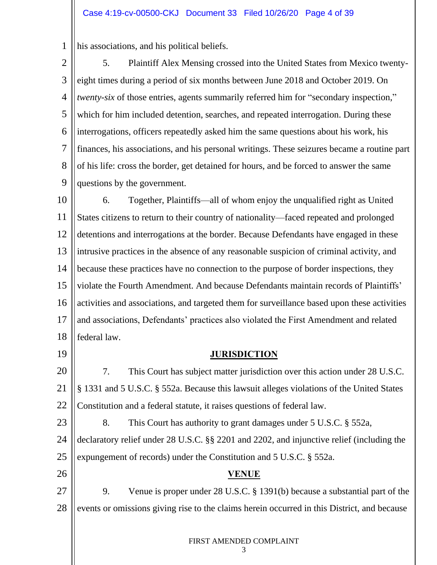1 his associations, and his political beliefs.

19

26

2 3 4 5 6 7 8 9 5. Plaintiff Alex Mensing crossed into the United States from Mexico twentyeight times during a period of six months between June 2018 and October 2019. On *twenty-six* of those entries, agents summarily referred him for "secondary inspection," which for him included detention, searches, and repeated interrogation. During these interrogations, officers repeatedly asked him the same questions about his work, his finances, his associations, and his personal writings. These seizures became a routine part of his life: cross the border, get detained for hours, and be forced to answer the same questions by the government.

10 11 12 13 14 15 16 17 18 6. Together, Plaintiffs—all of whom enjoy the unqualified right as United States citizens to return to their country of nationality—faced repeated and prolonged detentions and interrogations at the border. Because Defendants have engaged in these intrusive practices in the absence of any reasonable suspicion of criminal activity, and because these practices have no connection to the purpose of border inspections, they violate the Fourth Amendment. And because Defendants maintain records of Plaintiffs' activities and associations, and targeted them for surveillance based upon these activities and associations, Defendants' practices also violated the First Amendment and related federal law.

# **JURISDICTION**

20 21 22 7. This Court has subject matter jurisdiction over this action under 28 U.S.C. § 1331 and 5 U.S.C. § 552a. Because this lawsuit alleges violations of the United States Constitution and a federal statute, it raises questions of federal law.

23 24 25 8. This Court has authority to grant damages under 5 U.S.C. § 552a, declaratory relief under 28 U.S.C. §§ 2201 and 2202, and injunctive relief (including the expungement of records) under the Constitution and 5 U.S.C. § 552a.

# **VENUE**

27 28 9. Venue is proper under 28 U.S.C. § 1391(b) because a substantial part of the events or omissions giving rise to the claims herein occurred in this District, and because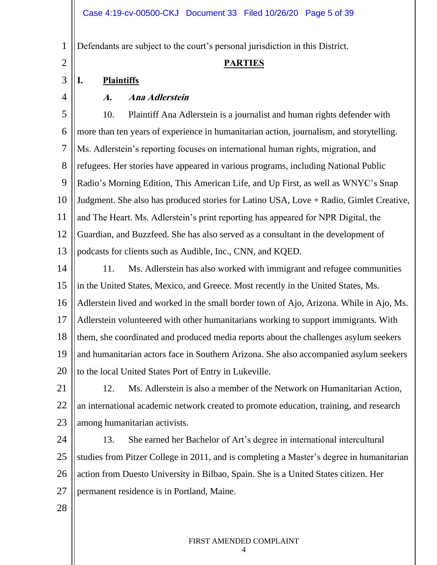Defendants are subject to the court's personal jurisdiction in this District.

# **PARTIES**

# **I. Plaintiffs**

4

1

2

3

# **A. Ana Adlerstein**

5 6 7 8 9 10 11 12 13 10. Plaintiff Ana Adlerstein is a journalist and human rights defender with more than ten years of experience in humanitarian action, journalism, and storytelling. Ms. Adlerstein's reporting focuses on international human rights, migration, and refugees. Her stories have appeared in various programs, including National Public Radio's Morning Edition, This American Life, and Up First, as well as WNYC's Snap Judgment. She also has produced stories for Latino USA, Love + Radio, Gimlet Creative, and The Heart. Ms. Adlerstein's print reporting has appeared for NPR Digital, the Guardian, and Buzzfeed. She has also served as a consultant in the development of podcasts for clients such as Audible, Inc., CNN, and KQED.

14

15 16 17 18 19 20 11. Ms. Adlerstein has also worked with immigrant and refugee communities in the United States, Mexico, and Greece. Most recently in the United States, Ms. Adlerstein lived and worked in the small border town of Ajo, Arizona. While in Ajo, Ms. Adlerstein volunteered with other humanitarians working to support immigrants. With them, she coordinated and produced media reports about the challenges asylum seekers and humanitarian actors face in Southern Arizona. She also accompanied asylum seekers to the local United States Port of Entry in Lukeville.

21 22 23 12. Ms. Adlerstein is also a member of the Network on Humanitarian Action, an international academic network created to promote education, training, and research among humanitarian activists.

24 25 26 27 13. She earned her Bachelor of Art's degree in international intercultural studies from Pitzer College in 2011, and is completing a Master's degree in humanitarian action from Duesto University in Bilbao, Spain. She is a United States citizen. Her permanent residence is in Portland, Maine.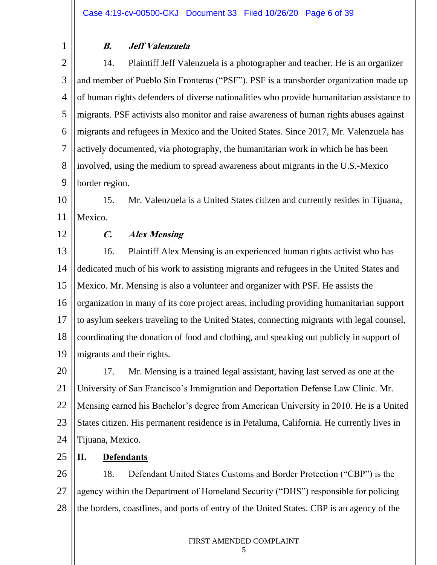# **B. Jeff Valenzuela**

2 3 4 5 6 7 8 9 14. Plaintiff Jeff Valenzuela is a photographer and teacher. He is an organizer and member of Pueblo Sin Fronteras ("PSF"). PSF is a transborder organization made up of human rights defenders of diverse nationalities who provide humanitarian assistance to migrants. PSF activists also monitor and raise awareness of human rights abuses against migrants and refugees in Mexico and the United States. Since 2017, Mr. Valenzuela has actively documented, via photography, the humanitarian work in which he has been involved, using the medium to spread awareness about migrants in the U.S.-Mexico border region.

10 11 15. Mr. Valenzuela is a United States citizen and currently resides in Tijuana, Mexico.

12

1

### **C. Alex Mensing**

13 14 15 16 17 18 19 16. Plaintiff Alex Mensing is an experienced human rights activist who has dedicated much of his work to assisting migrants and refugees in the United States and Mexico. Mr. Mensing is also a volunteer and organizer with PSF. He assists the organization in many of its core project areas, including providing humanitarian support to asylum seekers traveling to the United States, connecting migrants with legal counsel, coordinating the donation of food and clothing, and speaking out publicly in support of migrants and their rights.

20 21 22 23 24 17. Mr. Mensing is a trained legal assistant, having last served as one at the University of San Francisco's Immigration and Deportation Defense Law Clinic. Mr. Mensing earned his Bachelor's degree from American University in 2010. He is a United States citizen. His permanent residence is in Petaluma, California. He currently lives in Tijuana, Mexico.

25 **II. Defendants**

26 27 28 18. Defendant United States Customs and Border Protection ("CBP") is the agency within the Department of Homeland Security ("DHS") responsible for policing the borders, coastlines, and ports of entry of the United States. CBP is an agency of the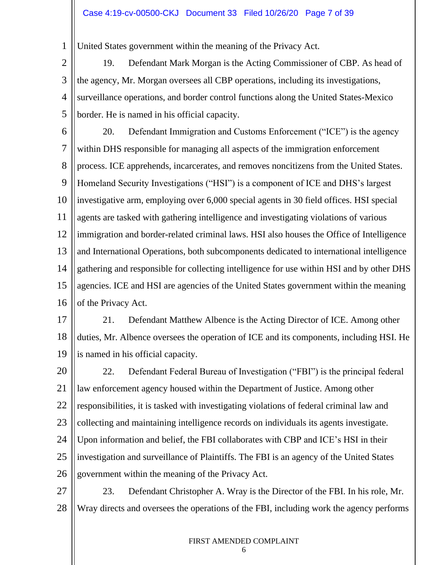1 United States government within the meaning of the Privacy Act.

2 3 4 5 19. Defendant Mark Morgan is the Acting Commissioner of CBP. As head of the agency, Mr. Morgan oversees all CBP operations, including its investigations, surveillance operations, and border control functions along the United States-Mexico border. He is named in his official capacity.

6 7 8 9 10 11 12 13 14 15 16 20. Defendant Immigration and Customs Enforcement ("ICE") is the agency within DHS responsible for managing all aspects of the immigration enforcement process. ICE apprehends, incarcerates, and removes noncitizens from the United States. Homeland Security Investigations ("HSI") is a component of ICE and DHS's largest investigative arm, employing over 6,000 special agents in 30 field offices. HSI special agents are tasked with gathering intelligence and investigating violations of various immigration and border-related criminal laws. HSI also houses the Office of Intelligence and International Operations, both subcomponents dedicated to international intelligence gathering and responsible for collecting intelligence for use within HSI and by other DHS agencies. ICE and HSI are agencies of the United States government within the meaning of the Privacy Act.

17 18 19 21. Defendant Matthew Albence is the Acting Director of ICE. Among other duties, Mr. Albence oversees the operation of ICE and its components, including HSI. He is named in his official capacity.

20 21 22 23 24 25 26 22. Defendant Federal Bureau of Investigation ("FBI") is the principal federal law enforcement agency housed within the Department of Justice. Among other responsibilities, it is tasked with investigating violations of federal criminal law and collecting and maintaining intelligence records on individuals its agents investigate. Upon information and belief, the FBI collaborates with CBP and ICE's HSI in their investigation and surveillance of Plaintiffs. The FBI is an agency of the United States government within the meaning of the Privacy Act.

27 28 23. Defendant Christopher A. Wray is the Director of the FBI. In his role, Mr. Wray directs and oversees the operations of the FBI, including work the agency performs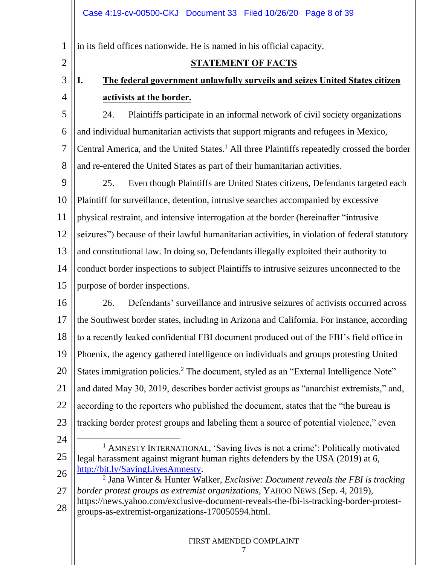in its field offices nationwide. He is named in his official capacity.

# **STATEMENT OF FACTS**

# 3

1

2

4

# **I. The federal government unlawfully surveils and seizes United States citizen activists at the border.**

5 6 7 8 24. Plaintiffs participate in an informal network of civil society organizations and individual humanitarian activists that support migrants and refugees in Mexico, Central America, and the United States. <sup>1</sup> All three Plaintiffs repeatedly crossed the border and re-entered the United States as part of their humanitarian activities.

9 10 11 12 13 14 15 25. Even though Plaintiffs are United States citizens, Defendants targeted each Plaintiff for surveillance, detention, intrusive searches accompanied by excessive physical restraint, and intensive interrogation at the border (hereinafter "intrusive seizures") because of their lawful humanitarian activities, in violation of federal statutory and constitutional law. In doing so, Defendants illegally exploited their authority to conduct border inspections to subject Plaintiffs to intrusive seizures unconnected to the purpose of border inspections.

16 17 18 19 20 21 22 23 26. Defendants' surveillance and intrusive seizures of activists occurred across the Southwest border states, including in Arizona and California. For instance, according to a recently leaked confidential FBI document produced out of the FBI's field office in Phoenix, the agency gathered intelligence on individuals and groups protesting United States immigration policies.<sup>2</sup> The document, styled as an "External Intelligence Note" and dated May 30, 2019, describes border activist groups as "anarchist extremists," and, according to the reporters who published the document, states that the "the bureau is tracking border protest groups and labeling them a source of potential violence," even

- 24
- 25 <sup>1</sup> AMNESTY INTERNATIONAL, 'Saving lives is not a crime': Politically motivated legal harassment against migrant human rights defenders by the USA (2019) at 6, [http://bit.ly/SavingLivesAmnesty.](http://bit.ly/SavingLivesAmnesty)
- 26 27 28 2 Jana Winter & Hunter Walker, *Exclusive: Document reveals the FBI is tracking border protest groups as extremist organizations*, YAHOO NEWS (Sep. 4, 2019), https://news.yahoo.com/exclusive-document-reveals-the-fbi-is-tracking-border-protestgroups-as-extremist-organizations-170050594.html.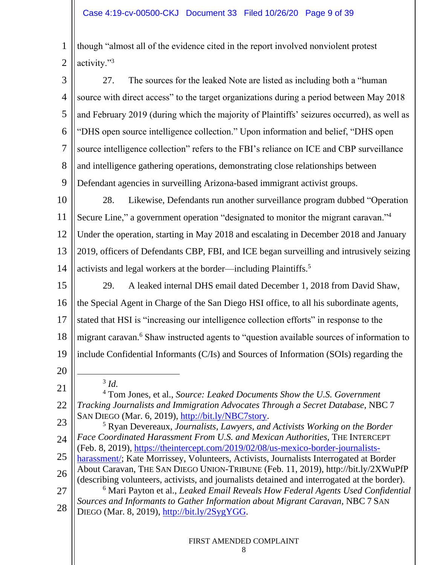1 2 though "almost all of the evidence cited in the report involved nonviolent protest activity."<sup>3</sup>

3 4 5 6 7 8 9 27. The sources for the leaked Note are listed as including both a "human source with direct access" to the target organizations during a period between May 2018 and February 2019 (during which the majority of Plaintiffs' seizures occurred), as well as "DHS open source intelligence collection." Upon information and belief, "DHS open source intelligence collection" refers to the FBI's reliance on ICE and CBP surveillance and intelligence gathering operations, demonstrating close relationships between Defendant agencies in surveilling Arizona-based immigrant activist groups.

10 11 12 28. Likewise, Defendants run another surveillance program dubbed "Operation Secure Line," a government operation "designated to monitor the migrant caravan."<sup>4</sup> Under the operation, starting in May 2018 and escalating in December 2018 and January

13 14 2019, officers of Defendants CBP, FBI, and ICE began surveilling and intrusively seizing activists and legal workers at the border—including Plaintiffs. 5

15 16 17 18 19 29. A leaked internal DHS email dated December 1, 2018 from David Shaw, the Special Agent in Charge of the San Diego HSI office, to all his subordinate agents, stated that HSI is "increasing our intelligence collection efforts" in response to the migrant caravan.<sup>6</sup> Shaw instructed agents to "question available sources of information to include Confidential Informants (C/Is) and Sources of Information (SOIs) regarding the

20

21 22 3 *Id.* <sup>4</sup> Tom Jones, et al., *Source: Leaked Documents Show the U.S. Government Tracking Journalists and Immigration Advocates Through a Secret Database*, NBC 7 SAN DIEGO (Mar. 6, 2019), [http://bit.ly/NBC7story.](http://bit.ly/NBC7story)

23 24 25 26 27 28 <sup>5</sup> Ryan Devereaux, *Journalists, Lawyers, and Activists Working on the Border Face Coordinated Harassment From U.S. and Mexican Authorities*, THE INTERCEPT (Feb. 8, 2019), [https://theintercept.com/2019/02/08/us-mexico-border-journalists](https://theintercept.com/2019/02/08/us-mexico-border-journalists-harassment/)[harassment/;](https://theintercept.com/2019/02/08/us-mexico-border-journalists-harassment/) Kate Morrissey, Volunteers, Activists, Journalists Interrogated at Border About Caravan, THE SAN DIEGO UNION-TRIBUNE (Feb. 11, 2019), http://bit.ly/2XWuPfP (describing volunteers, activists, and journalists detained and interrogated at the border). <sup>6</sup> Mari Payton et al., *Leaked Email Reveals How Federal Agents Used Confidential Sources and Informants to Gather Information about Migrant Caravan*, NBC 7 SAN

DIEGO (Mar. 8, 2019), [http://bit.ly/2SygYGG.](http://bit.ly/2SygYGG)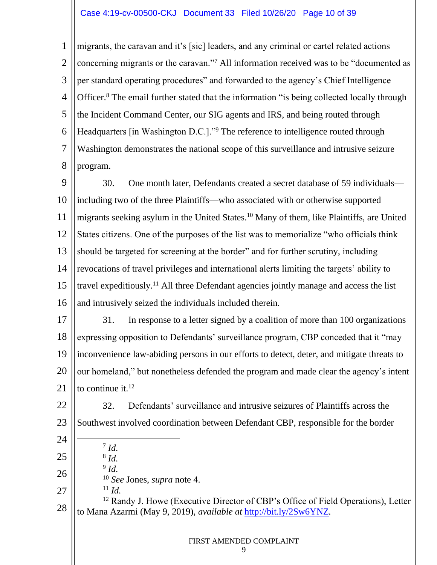# Case 4:19-cv-00500-CKJ Document 33 Filed 10/26/20 Page 10 of 39

1 2 3 4 5 6 7 8 migrants, the caravan and it's [sic] leaders, and any criminal or cartel related actions concerning migrants or the caravan."<sup>7</sup> All information received was to be "documented as per standard operating procedures" and forwarded to the agency's Chief Intelligence Officer.<sup>8</sup> The email further stated that the information "is being collected locally through the Incident Command Center, our SIG agents and IRS, and being routed through Headquarters [in Washington D.C.]."<sup>9</sup> The reference to intelligence routed through Washington demonstrates the national scope of this surveillance and intrusive seizure program.

9 10 11 12 13 14 15 16 30. One month later, Defendants created a secret database of 59 individuals including two of the three Plaintiffs—who associated with or otherwise supported migrants seeking asylum in the United States.<sup>10</sup> Many of them, like Plaintiffs, are United States citizens. One of the purposes of the list was to memorialize "who officials think should be targeted for screening at the border" and for further scrutiny, including revocations of travel privileges and international alerts limiting the targets' ability to travel expeditiously.<sup>11</sup> All three Defendant agencies jointly manage and access the list and intrusively seized the individuals included therein.

17 18 19 20 21 31. In response to a letter signed by a coalition of more than 100 organizations expressing opposition to Defendants' surveillance program, CBP conceded that it "may inconvenience law-abiding persons in our efforts to detect, deter, and mitigate threats to our homeland," but nonetheless defended the program and made clear the agency's intent to continue it. $12$ 

- 22 23 32. Defendants' surveillance and intrusive seizures of Plaintiffs across the Southwest involved coordination between Defendant CBP, responsible for the border
- 24 25 26 27 28 7 *Id.* 8 *Id.* 9 *Id.* <sup>10</sup> *See* Jones, *supra* note 4. <sup>11</sup> *Id.* <sup>12</sup> Randy J. Howe (Executive Director of CBP's Office of Field Operations), Letter to Mana Azarmi (May 9, 2019), *available at* <http://bit.ly/2Sw6YNZ>*.*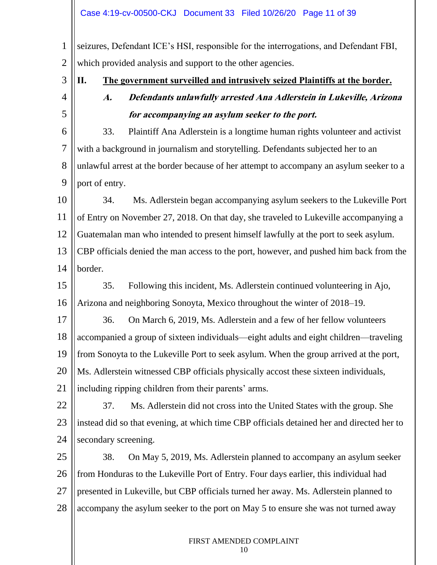1 2 seizures, Defendant ICE's HSI, responsible for the interrogations, and Defendant FBI, which provided analysis and support to the other agencies.

- **II. The government surveilled and intrusively seized Plaintiffs at the border.**
- 4

5

3

**A. Defendants unlawfully arrested Ana Adlerstein in Lukeville, Arizona for accompanying an asylum seeker to the port.** 

6 7 8 9 33. Plaintiff Ana Adlerstein is a longtime human rights volunteer and activist with a background in journalism and storytelling. Defendants subjected her to an unlawful arrest at the border because of her attempt to accompany an asylum seeker to a port of entry.

10 11 12 13 14 34. Ms. Adlerstein began accompanying asylum seekers to the Lukeville Port of Entry on November 27, 2018. On that day, she traveled to Lukeville accompanying a Guatemalan man who intended to present himself lawfully at the port to seek asylum. CBP officials denied the man access to the port, however, and pushed him back from the border.

15 16 35. Following this incident, Ms. Adlerstein continued volunteering in Ajo, Arizona and neighboring Sonoyta, Mexico throughout the winter of 2018–19.

17 18 19 20 21 36. On March 6, 2019, Ms. Adlerstein and a few of her fellow volunteers accompanied a group of sixteen individuals—eight adults and eight children—traveling from Sonoyta to the Lukeville Port to seek asylum. When the group arrived at the port, Ms. Adlerstein witnessed CBP officials physically accost these sixteen individuals, including ripping children from their parents' arms.

22 23 24 37. Ms. Adlerstein did not cross into the United States with the group. She instead did so that evening, at which time CBP officials detained her and directed her to secondary screening.

25 26 27 28 38. On May 5, 2019, Ms. Adlerstein planned to accompany an asylum seeker from Honduras to the Lukeville Port of Entry. Four days earlier, this individual had presented in Lukeville, but CBP officials turned her away. Ms. Adlerstein planned to accompany the asylum seeker to the port on May 5 to ensure she was not turned away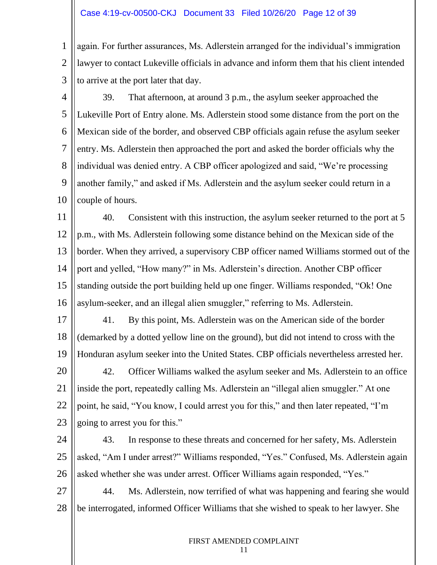1 2 3 again. For further assurances, Ms. Adlerstein arranged for the individual's immigration lawyer to contact Lukeville officials in advance and inform them that his client intended to arrive at the port later that day.

4

5 6 7 8 9 10 39. That afternoon, at around 3 p.m., the asylum seeker approached the Lukeville Port of Entry alone. Ms. Adlerstein stood some distance from the port on the Mexican side of the border, and observed CBP officials again refuse the asylum seeker entry. Ms. Adlerstein then approached the port and asked the border officials why the individual was denied entry. A CBP officer apologized and said, "We're processing another family," and asked if Ms. Adlerstein and the asylum seeker could return in a couple of hours.

11 12 13 14 15 16 40. Consistent with this instruction, the asylum seeker returned to the port at 5 p.m., with Ms. Adlerstein following some distance behind on the Mexican side of the border. When they arrived, a supervisory CBP officer named Williams stormed out of the port and yelled, "How many?" in Ms. Adlerstein's direction. Another CBP officer standing outside the port building held up one finger. Williams responded, "Ok! One asylum-seeker, and an illegal alien smuggler," referring to Ms. Adlerstein.

17 18 19 41. By this point, Ms. Adlerstein was on the American side of the border (demarked by a dotted yellow line on the ground), but did not intend to cross with the Honduran asylum seeker into the United States. CBP officials nevertheless arrested her.

20 21 22 23 42. Officer Williams walked the asylum seeker and Ms. Adlerstein to an office inside the port, repeatedly calling Ms. Adlerstein an "illegal alien smuggler." At one point, he said, "You know, I could arrest you for this," and then later repeated, "I'm going to arrest you for this."

24 25 26 43. In response to these threats and concerned for her safety, Ms. Adlerstein asked, "Am I under arrest?" Williams responded, "Yes." Confused, Ms. Adlerstein again asked whether she was under arrest. Officer Williams again responded, "Yes."

27 28 44. Ms. Adlerstein, now terrified of what was happening and fearing she would be interrogated, informed Officer Williams that she wished to speak to her lawyer. She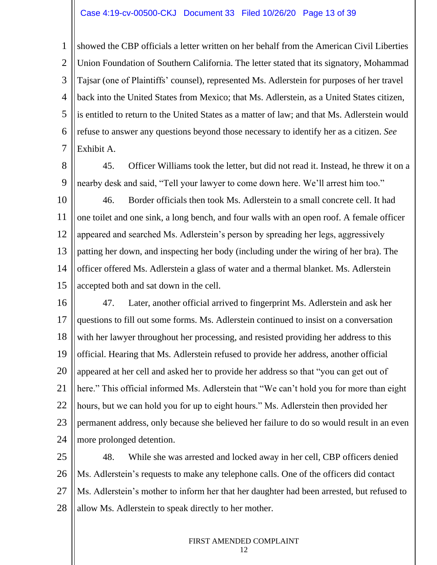### Case 4:19-cv-00500-CKJ Document 33 Filed 10/26/20 Page 13 of 39

1 2 3 4 5 6 7 showed the CBP officials a letter written on her behalf from the American Civil Liberties Union Foundation of Southern California. The letter stated that its signatory, Mohammad Tajsar (one of Plaintiffs' counsel), represented Ms. Adlerstein for purposes of her travel back into the United States from Mexico; that Ms. Adlerstein, as a United States citizen, is entitled to return to the United States as a matter of law; and that Ms. Adlerstein would refuse to answer any questions beyond those necessary to identify her as a citizen. *See* Exhibit A.

- 8 9 10 11 12 13 14 15 45. Officer Williams took the letter, but did not read it. Instead, he threw it on a nearby desk and said, "Tell your lawyer to come down here. We'll arrest him too." 46. Border officials then took Ms. Adlerstein to a small concrete cell. It had one toilet and one sink, a long bench, and four walls with an open roof. A female officer appeared and searched Ms. Adlerstein's person by spreading her legs, aggressively patting her down, and inspecting her body (including under the wiring of her bra). The officer offered Ms. Adlerstein a glass of water and a thermal blanket. Ms. Adlerstein accepted both and sat down in the cell.
- 16 17 18 19 20 21 22 23 24 47. Later, another official arrived to fingerprint Ms. Adlerstein and ask her questions to fill out some forms. Ms. Adlerstein continued to insist on a conversation with her lawyer throughout her processing, and resisted providing her address to this official. Hearing that Ms. Adlerstein refused to provide her address, another official appeared at her cell and asked her to provide her address so that "you can get out of here." This official informed Ms. Adlerstein that "We can't hold you for more than eight hours, but we can hold you for up to eight hours." Ms. Adlerstein then provided her permanent address, only because she believed her failure to do so would result in an even more prolonged detention.

25 26 27 28 48. While she was arrested and locked away in her cell, CBP officers denied Ms. Adlerstein's requests to make any telephone calls. One of the officers did contact Ms. Adlerstein's mother to inform her that her daughter had been arrested, but refused to allow Ms. Adlerstein to speak directly to her mother.

# FIRST AMENDED COMPLAINT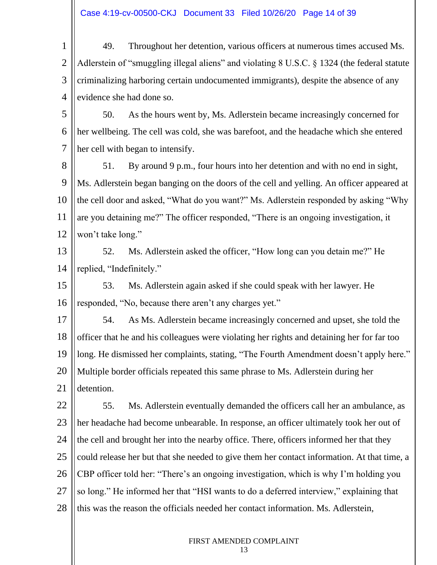1 2 3 4 49. Throughout her detention, various officers at numerous times accused Ms. Adlerstein of "smuggling illegal aliens" and violating 8 U.S.C. § 1324 (the federal statute criminalizing harboring certain undocumented immigrants), despite the absence of any evidence she had done so.

5 6 7 50. As the hours went by, Ms. Adlerstein became increasingly concerned for her wellbeing. The cell was cold, she was barefoot, and the headache which she entered her cell with began to intensify.

8 9 10 11 12 51. By around 9 p.m., four hours into her detention and with no end in sight, Ms. Adlerstein began banging on the doors of the cell and yelling. An officer appeared at the cell door and asked, "What do you want?" Ms. Adlerstein responded by asking "Why are you detaining me?" The officer responded, "There is an ongoing investigation, it won't take long."

13 14 52. Ms. Adlerstein asked the officer, "How long can you detain me?" He replied, "Indefinitely."

15 16 53. Ms. Adlerstein again asked if she could speak with her lawyer. He responded, "No, because there aren't any charges yet."

17 18 19 20 21 54. As Ms. Adlerstein became increasingly concerned and upset, she told the officer that he and his colleagues were violating her rights and detaining her for far too long. He dismissed her complaints, stating, "The Fourth Amendment doesn't apply here." Multiple border officials repeated this same phrase to Ms. Adlerstein during her detention.

22 23 24 25 26 27 28 55. Ms. Adlerstein eventually demanded the officers call her an ambulance, as her headache had become unbearable. In response, an officer ultimately took her out of the cell and brought her into the nearby office. There, officers informed her that they could release her but that she needed to give them her contact information. At that time, a CBP officer told her: "There's an ongoing investigation, which is why I'm holding you so long." He informed her that "HSI wants to do a deferred interview," explaining that this was the reason the officials needed her contact information. Ms. Adlerstein,

# FIRST AMENDED COMPLAINT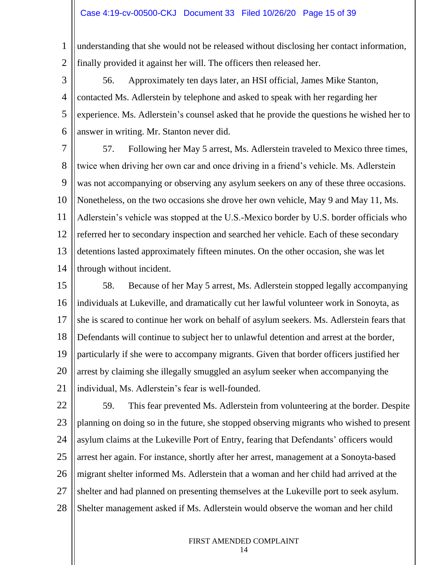1 2 understanding that she would not be released without disclosing her contact information, finally provided it against her will. The officers then released her.

3

4

5

6

56. Approximately ten days later, an HSI official, James Mike Stanton, contacted Ms. Adlerstein by telephone and asked to speak with her regarding her experience. Ms. Adlerstein's counsel asked that he provide the questions he wished her to answer in writing. Mr. Stanton never did.

7 8 9 10 11 12 13 14 57. Following her May 5 arrest, Ms. Adlerstein traveled to Mexico three times, twice when driving her own car and once driving in a friend's vehicle. Ms. Adlerstein was not accompanying or observing any asylum seekers on any of these three occasions. Nonetheless, on the two occasions she drove her own vehicle, May 9 and May 11, Ms. Adlerstein's vehicle was stopped at the U.S.-Mexico border by U.S. border officials who referred her to secondary inspection and searched her vehicle. Each of these secondary detentions lasted approximately fifteen minutes. On the other occasion, she was let through without incident.

15 16 17 18 19 20 21 58. Because of her May 5 arrest, Ms. Adlerstein stopped legally accompanying individuals at Lukeville, and dramatically cut her lawful volunteer work in Sonoyta, as she is scared to continue her work on behalf of asylum seekers. Ms. Adlerstein fears that Defendants will continue to subject her to unlawful detention and arrest at the border, particularly if she were to accompany migrants. Given that border officers justified her arrest by claiming she illegally smuggled an asylum seeker when accompanying the individual, Ms. Adlerstein's fear is well-founded.

22 23 24 25 26 27 28 59. This fear prevented Ms. Adlerstein from volunteering at the border. Despite planning on doing so in the future, she stopped observing migrants who wished to present asylum claims at the Lukeville Port of Entry, fearing that Defendants' officers would arrest her again. For instance, shortly after her arrest, management at a Sonoyta-based migrant shelter informed Ms. Adlerstein that a woman and her child had arrived at the shelter and had planned on presenting themselves at the Lukeville port to seek asylum. Shelter management asked if Ms. Adlerstein would observe the woman and her child

# FIRST AMENDED COMPLAINT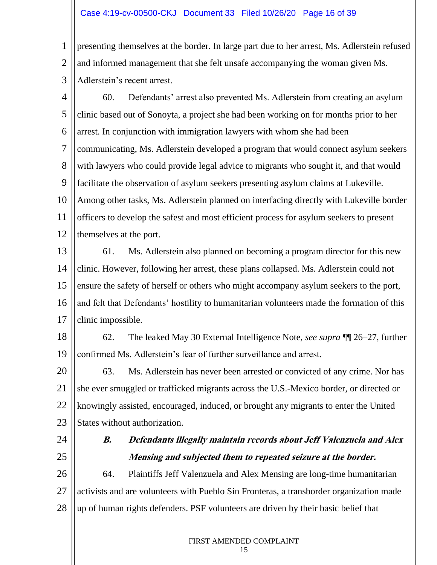### Case 4:19-cv-00500-CKJ Document 33 Filed 10/26/20 Page 16 of 39

1 2 3 presenting themselves at the border. In large part due to her arrest, Ms. Adlerstein refused and informed management that she felt unsafe accompanying the woman given Ms. Adlerstein's recent arrest.

4 5 6 7 8 9 10 11 12 60. Defendants' arrest also prevented Ms. Adlerstein from creating an asylum clinic based out of Sonoyta, a project she had been working on for months prior to her arrest. In conjunction with immigration lawyers with whom she had been communicating, Ms. Adlerstein developed a program that would connect asylum seekers with lawyers who could provide legal advice to migrants who sought it, and that would facilitate the observation of asylum seekers presenting asylum claims at Lukeville. Among other tasks, Ms. Adlerstein planned on interfacing directly with Lukeville border officers to develop the safest and most efficient process for asylum seekers to present themselves at the port.

13 14 15 16 17 61. Ms. Adlerstein also planned on becoming a program director for this new clinic. However, following her arrest, these plans collapsed. Ms. Adlerstein could not ensure the safety of herself or others who might accompany asylum seekers to the port, and felt that Defendants' hostility to humanitarian volunteers made the formation of this clinic impossible.

18 19 62. The leaked May 30 External Intelligence Note, *see supra* ¶¶ 26–27, further confirmed Ms. Adlerstein's fear of further surveillance and arrest.

20 21 22 23 63. Ms. Adlerstein has never been arrested or convicted of any crime. Nor has she ever smuggled or trafficked migrants across the U.S.-Mexico border, or directed or knowingly assisted, encouraged, induced, or brought any migrants to enter the United States without authorization.

- 24
- 25

# **B. Defendants illegally maintain records about Jeff Valenzuela and Alex Mensing and subjected them to repeated seizure at the border.**

26 27 28 64. Plaintiffs Jeff Valenzuela and Alex Mensing are long-time humanitarian activists and are volunteers with Pueblo Sin Fronteras, a transborder organization made up of human rights defenders. PSF volunteers are driven by their basic belief that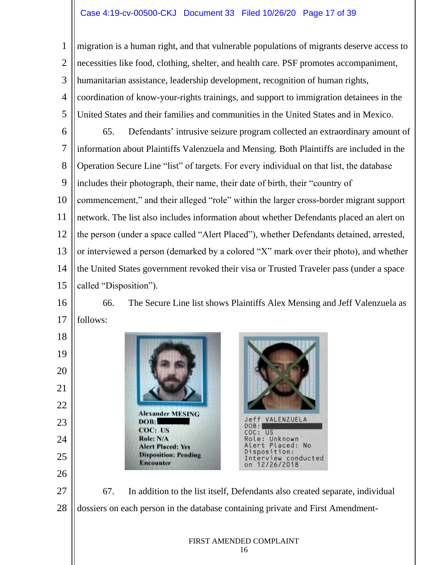### Case 4:19-cv-00500-CKJ Document 33 Filed 10/26/20 Page 17 of 39

1 migration is a human right, and that vulnerable populations of migrants deserve access to 2 necessities like food, clothing, shelter, and health care. PSF promotes accompaniment, 3 humanitarian assistance, leadership development, recognition of human rights, 4 coordination of know-your-rights trainings, and support to immigration detainees in the 5 United States and their families and communities in the United States and in Mexico. 65. Defendants' intrusive seizure program collected an extraordinary amount of 6 7 information about Plaintiffs Valenzuela and Mensing. Both Plaintiffs are included in the 8 Operation Secure Line "list" of targets. For every individual on that list, the database 9 includes their photograph, their name, their date of birth, their "country of 10 commencement," and their alleged "role" within the larger cross-border migrant support 11 network. The list also includes information about whether Defendants placed an alert on 12 the person (under a space called "Alert Placed"), whether Defendants detained, arrested, 13 or interviewed a person (demarked by a colored "X" mark over their photo), and whether 14 the United States government revoked their visa or Trusted Traveler pass (under a space 15 called "Disposition"). 16 66. The Secure Line list shows Plaintiffs Alex Mensing and Jeff Valenzuela as 17 follows: 18 19 20 21 22 **Alexander MESING** Jeff VALENZUELA 23 DOB:  $DOB:$ COC: US COC: US 24 Role: N/A Role: Unknown Alert Placed: No **Alert Placed: Yes** Disposition: **Disposition: Pending** 25 Interview conducted **Encounter** 12/26/2018

27 28 67. In addition to the list itself, Defendants also created separate, individual dossiers on each person in the database containing private and First Amendment-

26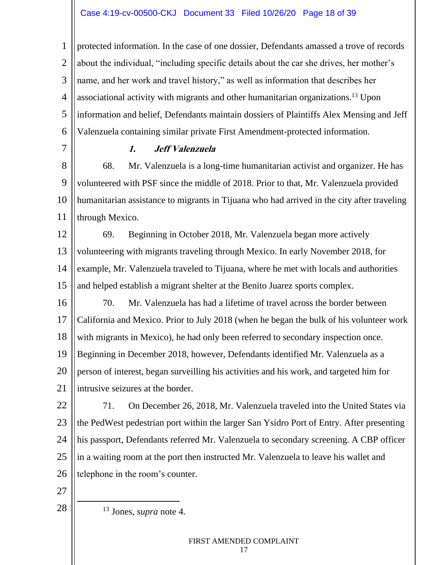1 2 3 4 5 6 protected information. In the case of one dossier, Defendants amassed a trove of records about the individual, "including specific details about the car she drives, her mother's name, and her work and travel history," as well as information that describes her associational activity with migrants and other humanitarian organizations.<sup>13</sup> Upon information and belief, Defendants maintain dossiers of Plaintiffs Alex Mensing and Jeff Valenzuela containing similar private First Amendment-protected information.

7

### **1. Jeff Valenzuela**

8 9 10 11 68. Mr. Valenzuela is a long-time humanitarian activist and organizer. He has volunteered with PSF since the middle of 2018. Prior to that, Mr. Valenzuela provided humanitarian assistance to migrants in Tijuana who had arrived in the city after traveling through Mexico.

12 13 14 15 69. Beginning in October 2018, Mr. Valenzuela began more actively volunteering with migrants traveling through Mexico. In early November 2018, for example, Mr. Valenzuela traveled to Tijuana, where he met with locals and authorities and helped establish a migrant shelter at the Benito Juarez sports complex.

16 17 18 19 20 21 70. Mr. Valenzuela has had a lifetime of travel across the border between California and Mexico. Prior to July 2018 (when he began the bulk of his volunteer work with migrants in Mexico), he had only been referred to secondary inspection once. Beginning in December 2018, however, Defendants identified Mr. Valenzuela as a person of interest, began surveilling his activities and his work, and targeted him for intrusive seizures at the border.

22 23 24 25 26 71. On December 26, 2018, Mr. Valenzuela traveled into the United States via the PedWest pedestrian port within the larger San Ysidro Port of Entry. After presenting his passport, Defendants referred Mr. Valenzuela to secondary screening. A CBP officer in a waiting room at the port then instructed Mr. Valenzuela to leave his wallet and telephone in the room's counter.

- 27
- 28

<sup>13</sup> Jones, *supra* note 4.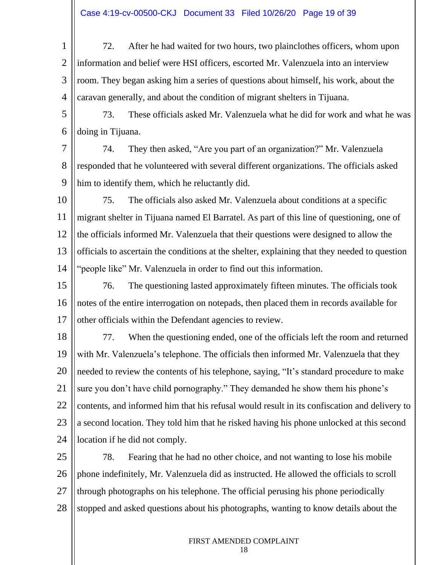1 2 3 4 72. After he had waited for two hours, two plainclothes officers, whom upon information and belief were HSI officers, escorted Mr. Valenzuela into an interview room. They began asking him a series of questions about himself, his work, about the caravan generally, and about the condition of migrant shelters in Tijuana.

5 6 73. These officials asked Mr. Valenzuela what he did for work and what he was doing in Tijuana.

7 8 9 74. They then asked, "Are you part of an organization?" Mr. Valenzuela responded that he volunteered with several different organizations. The officials asked him to identify them, which he reluctantly did.

10 11 12 13 14 75. The officials also asked Mr. Valenzuela about conditions at a specific migrant shelter in Tijuana named El Barratel. As part of this line of questioning, one of the officials informed Mr. Valenzuela that their questions were designed to allow the officials to ascertain the conditions at the shelter, explaining that they needed to question "people like" Mr. Valenzuela in order to find out this information.

15 16 17 76. The questioning lasted approximately fifteen minutes. The officials took notes of the entire interrogation on notepads, then placed them in records available for other officials within the Defendant agencies to review.

18 19 20 21 22 23 24 77. When the questioning ended, one of the officials left the room and returned with Mr. Valenzuela's telephone. The officials then informed Mr. Valenzuela that they needed to review the contents of his telephone, saying, "It's standard procedure to make sure you don't have child pornography." They demanded he show them his phone's contents, and informed him that his refusal would result in its confiscation and delivery to a second location. They told him that he risked having his phone unlocked at this second location if he did not comply.

25 26 27 28 78. Fearing that he had no other choice, and not wanting to lose his mobile phone indefinitely, Mr. Valenzuela did as instructed. He allowed the officials to scroll through photographs on his telephone. The official perusing his phone periodically stopped and asked questions about his photographs, wanting to know details about the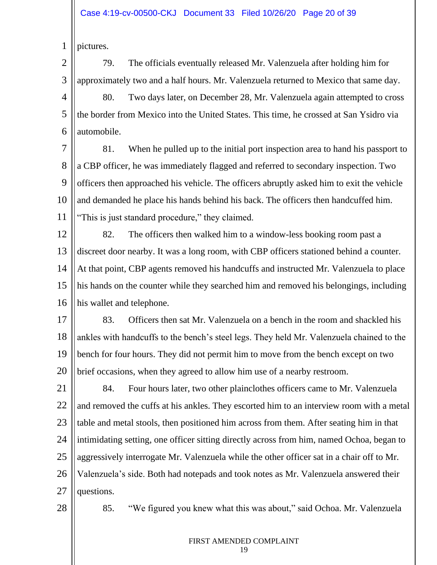1 pictures.

2 3 4 5 6 79. The officials eventually released Mr. Valenzuela after holding him for approximately two and a half hours. Mr. Valenzuela returned to Mexico that same day. 80. Two days later, on December 28, Mr. Valenzuela again attempted to cross the border from Mexico into the United States. This time, he crossed at San Ysidro via automobile.

7 8 9 10 11 81. When he pulled up to the initial port inspection area to hand his passport to a CBP officer, he was immediately flagged and referred to secondary inspection. Two officers then approached his vehicle. The officers abruptly asked him to exit the vehicle and demanded he place his hands behind his back. The officers then handcuffed him. "This is just standard procedure," they claimed.

12 13 14 15 16 82. The officers then walked him to a window-less booking room past a discreet door nearby. It was a long room, with CBP officers stationed behind a counter. At that point, CBP agents removed his handcuffs and instructed Mr. Valenzuela to place his hands on the counter while they searched him and removed his belongings, including his wallet and telephone.

17 18 19 20 83. Officers then sat Mr. Valenzuela on a bench in the room and shackled his ankles with handcuffs to the bench's steel legs. They held Mr. Valenzuela chained to the bench for four hours. They did not permit him to move from the bench except on two brief occasions, when they agreed to allow him use of a nearby restroom.

21 22 23 24 25 26 27 84. Four hours later, two other plainclothes officers came to Mr. Valenzuela and removed the cuffs at his ankles. They escorted him to an interview room with a metal table and metal stools, then positioned him across from them. After seating him in that intimidating setting, one officer sitting directly across from him, named Ochoa, began to aggressively interrogate Mr. Valenzuela while the other officer sat in a chair off to Mr. Valenzuela's side. Both had notepads and took notes as Mr. Valenzuela answered their questions.

28

85. "We figured you knew what this was about," said Ochoa. Mr. Valenzuela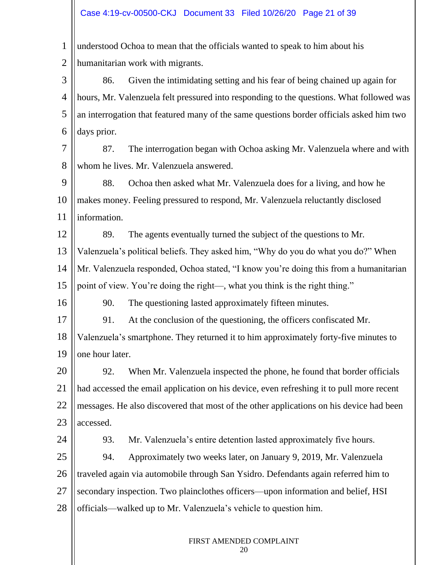1 2 understood Ochoa to mean that the officials wanted to speak to him about his humanitarian work with migrants.

3 4 5 6 86. Given the intimidating setting and his fear of being chained up again for hours, Mr. Valenzuela felt pressured into responding to the questions. What followed was an interrogation that featured many of the same questions border officials asked him two days prior.

7 8 87. The interrogation began with Ochoa asking Mr. Valenzuela where and with whom he lives. Mr. Valenzuela answered.

9 10 11 88. Ochoa then asked what Mr. Valenzuela does for a living, and how he makes money. Feeling pressured to respond, Mr. Valenzuela reluctantly disclosed information.

12 13 14 15 89. The agents eventually turned the subject of the questions to Mr. Valenzuela's political beliefs. They asked him, "Why do you do what you do?" When Mr. Valenzuela responded, Ochoa stated, "I know you're doing this from a humanitarian point of view. You're doing the right—, what you think is the right thing."

90. The questioning lasted approximately fifteen minutes.

91. At the conclusion of the questioning, the officers confiscated Mr.

18 19 Valenzuela's smartphone. They returned it to him approximately forty-five minutes to one hour later.

20 21 22 23 92. When Mr. Valenzuela inspected the phone, he found that border officials had accessed the email application on his device, even refreshing it to pull more recent messages. He also discovered that most of the other applications on his device had been accessed.

24

16

17

93. Mr. Valenzuela's entire detention lasted approximately five hours.

25 26 27 28 94. Approximately two weeks later, on January 9, 2019, Mr. Valenzuela traveled again via automobile through San Ysidro. Defendants again referred him to secondary inspection. Two plainclothes officers—upon information and belief, HSI officials—walked up to Mr. Valenzuela's vehicle to question him.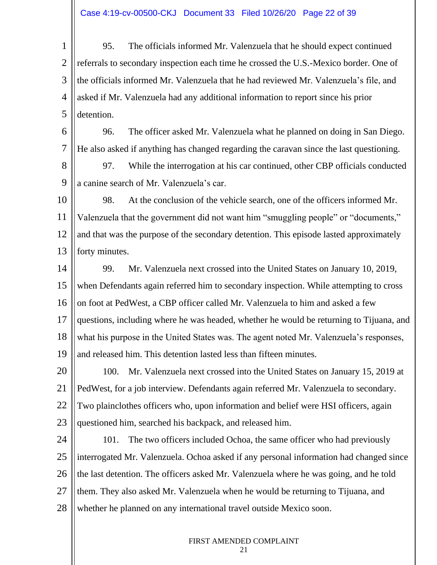1 2 3 4 5 95. The officials informed Mr. Valenzuela that he should expect continued referrals to secondary inspection each time he crossed the U.S.-Mexico border. One of the officials informed Mr. Valenzuela that he had reviewed Mr. Valenzuela's file, and asked if Mr. Valenzuela had any additional information to report since his prior detention.

6 7 96. The officer asked Mr. Valenzuela what he planned on doing in San Diego. He also asked if anything has changed regarding the caravan since the last questioning.

8 9 97. While the interrogation at his car continued, other CBP officials conducted a canine search of Mr. Valenzuela's car.

10 11 12 13 98. At the conclusion of the vehicle search, one of the officers informed Mr. Valenzuela that the government did not want him "smuggling people" or "documents," and that was the purpose of the secondary detention. This episode lasted approximately forty minutes.

14 15 16 17 18 19 99. Mr. Valenzuela next crossed into the United States on January 10, 2019, when Defendants again referred him to secondary inspection. While attempting to cross on foot at PedWest, a CBP officer called Mr. Valenzuela to him and asked a few questions, including where he was headed, whether he would be returning to Tijuana, and what his purpose in the United States was. The agent noted Mr. Valenzuela's responses, and released him. This detention lasted less than fifteen minutes.

20 21 22 23 100. Mr. Valenzuela next crossed into the United States on January 15, 2019 at PedWest, for a job interview. Defendants again referred Mr. Valenzuela to secondary. Two plainclothes officers who, upon information and belief were HSI officers, again questioned him, searched his backpack, and released him.

24 25 26 27 28 101. The two officers included Ochoa, the same officer who had previously interrogated Mr. Valenzuela. Ochoa asked if any personal information had changed since the last detention. The officers asked Mr. Valenzuela where he was going, and he told them. They also asked Mr. Valenzuela when he would be returning to Tijuana, and whether he planned on any international travel outside Mexico soon.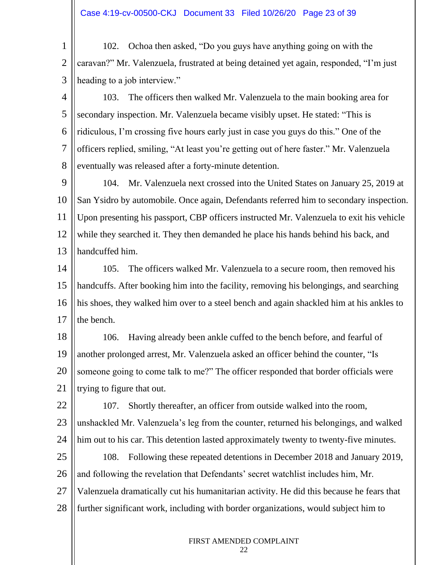1 2 3 102. Ochoa then asked, "Do you guys have anything going on with the caravan?" Mr. Valenzuela, frustrated at being detained yet again, responded, "I'm just heading to a job interview."

4 5 6 7 8 103. The officers then walked Mr. Valenzuela to the main booking area for secondary inspection. Mr. Valenzuela became visibly upset. He stated: "This is ridiculous, I'm crossing five hours early just in case you guys do this." One of the officers replied, smiling, "At least you're getting out of here faster." Mr. Valenzuela eventually was released after a forty-minute detention.

9 10 11 12 13 104. Mr. Valenzuela next crossed into the United States on January 25, 2019 at San Ysidro by automobile. Once again, Defendants referred him to secondary inspection. Upon presenting his passport, CBP officers instructed Mr. Valenzuela to exit his vehicle while they searched it. They then demanded he place his hands behind his back, and handcuffed him.

14 15 16 17 105. The officers walked Mr. Valenzuela to a secure room, then removed his handcuffs. After booking him into the facility, removing his belongings, and searching his shoes, they walked him over to a steel bench and again shackled him at his ankles to the bench.

18 19 20 21 106. Having already been ankle cuffed to the bench before, and fearful of another prolonged arrest, Mr. Valenzuela asked an officer behind the counter, "Is someone going to come talk to me?" The officer responded that border officials were trying to figure that out.

22 23 24 107. Shortly thereafter, an officer from outside walked into the room, unshackled Mr. Valenzuela's leg from the counter, returned his belongings, and walked him out to his car. This detention lasted approximately twenty to twenty-five minutes.

25 26 27 28 108. Following these repeated detentions in December 2018 and January 2019, and following the revelation that Defendants' secret watchlist includes him, Mr. Valenzuela dramatically cut his humanitarian activity. He did this because he fears that further significant work, including with border organizations, would subject him to

# FIRST AMENDED COMPLAINT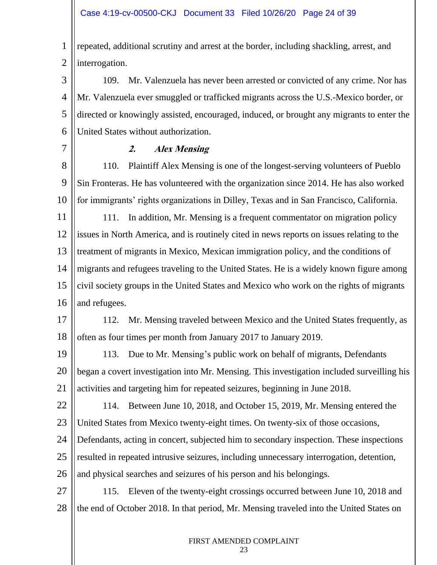1 2 repeated, additional scrutiny and arrest at the border, including shackling, arrest, and interrogation.

3 4 5 6 109. Mr. Valenzuela has never been arrested or convicted of any crime. Nor has Mr. Valenzuela ever smuggled or trafficked migrants across the U.S.-Mexico border, or directed or knowingly assisted, encouraged, induced, or brought any migrants to enter the United States without authorization.

7

### **2. Alex Mensing**

8 9 10 110. Plaintiff Alex Mensing is one of the longest-serving volunteers of Pueblo Sin Fronteras. He has volunteered with the organization since 2014. He has also worked for immigrants' rights organizations in Dilley, Texas and in San Francisco, California.

11 12 13 14 15 16 111. In addition, Mr. Mensing is a frequent commentator on migration policy issues in North America, and is routinely cited in news reports on issues relating to the treatment of migrants in Mexico, Mexican immigration policy, and the conditions of migrants and refugees traveling to the United States. He is a widely known figure among civil society groups in the United States and Mexico who work on the rights of migrants and refugees.

17 18 112. Mr. Mensing traveled between Mexico and the United States frequently, as often as four times per month from January 2017 to January 2019.

19 20 21 113. Due to Mr. Mensing's public work on behalf of migrants, Defendants began a covert investigation into Mr. Mensing. This investigation included surveilling his activities and targeting him for repeated seizures, beginning in June 2018.

22 23 24 25 26 114. Between June 10, 2018, and October 15, 2019, Mr. Mensing entered the United States from Mexico twenty-eight times. On twenty-six of those occasions, Defendants, acting in concert, subjected him to secondary inspection. These inspections resulted in repeated intrusive seizures, including unnecessary interrogation, detention, and physical searches and seizures of his person and his belongings.

27 28 115. Eleven of the twenty-eight crossings occurred between June 10, 2018 and the end of October 2018. In that period, Mr. Mensing traveled into the United States on

# FIRST AMENDED COMPLAINT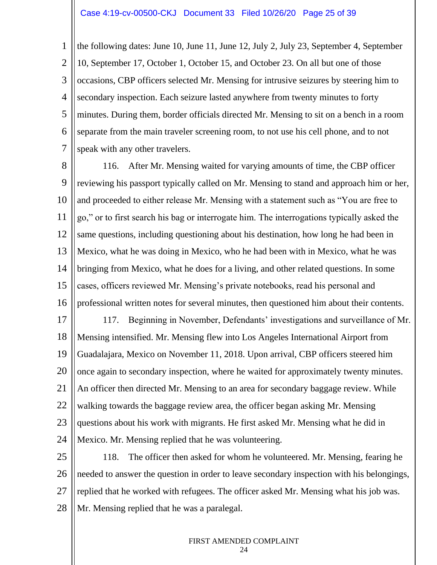1 2 3 4 5 6 7 the following dates: June 10, June 11, June 12, July 2, July 23, September 4, September 10, September 17, October 1, October 15, and October 23. On all but one of those occasions, CBP officers selected Mr. Mensing for intrusive seizures by steering him to secondary inspection. Each seizure lasted anywhere from twenty minutes to forty minutes. During them, border officials directed Mr. Mensing to sit on a bench in a room separate from the main traveler screening room, to not use his cell phone, and to not speak with any other travelers.

8 9 10 11 12 13 14 15 16 17 18 19 20 21 116. After Mr. Mensing waited for varying amounts of time, the CBP officer reviewing his passport typically called on Mr. Mensing to stand and approach him or her, and proceeded to either release Mr. Mensing with a statement such as "You are free to go," or to first search his bag or interrogate him. The interrogations typically asked the same questions, including questioning about his destination, how long he had been in Mexico, what he was doing in Mexico, who he had been with in Mexico, what he was bringing from Mexico, what he does for a living, and other related questions. In some cases, officers reviewed Mr. Mensing's private notebooks, read his personal and professional written notes for several minutes, then questioned him about their contents. 117. Beginning in November, Defendants' investigations and surveillance of Mr. Mensing intensified. Mr. Mensing flew into Los Angeles International Airport from Guadalajara, Mexico on November 11, 2018. Upon arrival, CBP officers steered him once again to secondary inspection, where he waited for approximately twenty minutes. An officer then directed Mr. Mensing to an area for secondary baggage review. While

22 23 24 walking towards the baggage review area, the officer began asking Mr. Mensing questions about his work with migrants. He first asked Mr. Mensing what he did in Mexico. Mr. Mensing replied that he was volunteering.

25 26 27 28 118. The officer then asked for whom he volunteered. Mr. Mensing, fearing he needed to answer the question in order to leave secondary inspection with his belongings, replied that he worked with refugees. The officer asked Mr. Mensing what his job was. Mr. Mensing replied that he was a paralegal.

# FIRST AMENDED COMPLAINT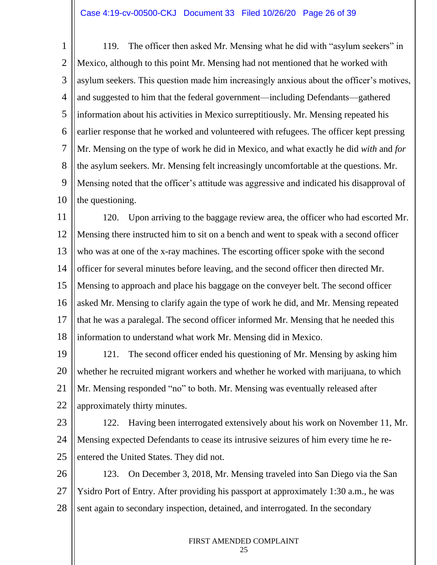1 2 3 4 5 6 7 8 9 10 119. The officer then asked Mr. Mensing what he did with "asylum seekers" in Mexico, although to this point Mr. Mensing had not mentioned that he worked with asylum seekers. This question made him increasingly anxious about the officer's motives, and suggested to him that the federal government—including Defendants—gathered information about his activities in Mexico surreptitiously. Mr. Mensing repeated his earlier response that he worked and volunteered with refugees. The officer kept pressing Mr. Mensing on the type of work he did in Mexico, and what exactly he did *with* and *for*  the asylum seekers. Mr. Mensing felt increasingly uncomfortable at the questions. Mr. Mensing noted that the officer's attitude was aggressive and indicated his disapproval of the questioning.

11 12 13 14 15 16 17 18 120. Upon arriving to the baggage review area, the officer who had escorted Mr. Mensing there instructed him to sit on a bench and went to speak with a second officer who was at one of the x-ray machines. The escorting officer spoke with the second officer for several minutes before leaving, and the second officer then directed Mr. Mensing to approach and place his baggage on the conveyer belt. The second officer asked Mr. Mensing to clarify again the type of work he did, and Mr. Mensing repeated that he was a paralegal. The second officer informed Mr. Mensing that he needed this information to understand what work Mr. Mensing did in Mexico.

19 20 21 22 121. The second officer ended his questioning of Mr. Mensing by asking him whether he recruited migrant workers and whether he worked with marijuana, to which Mr. Mensing responded "no" to both. Mr. Mensing was eventually released after approximately thirty minutes.

- 23 24 25 122. Having been interrogated extensively about his work on November 11, Mr. Mensing expected Defendants to cease its intrusive seizures of him every time he reentered the United States. They did not.
- 26 27 28 123. On December 3, 2018, Mr. Mensing traveled into San Diego via the San Ysidro Port of Entry. After providing his passport at approximately 1:30 a.m., he was sent again to secondary inspection, detained, and interrogated. In the secondary

# FIRST AMENDED COMPLAINT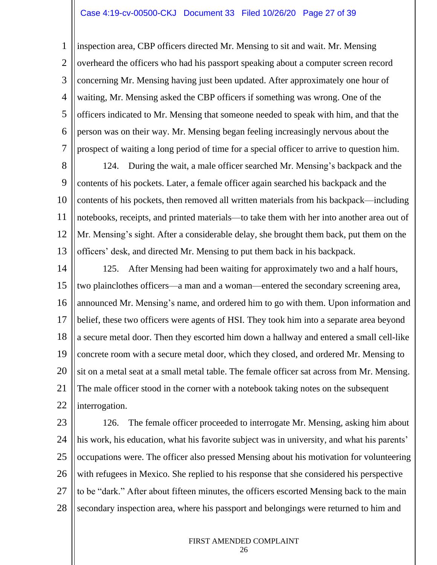### Case 4:19-cv-00500-CKJ Document 33 Filed 10/26/20 Page 27 of 39

1 2 3 4 5 6 7 inspection area, CBP officers directed Mr. Mensing to sit and wait. Mr. Mensing overheard the officers who had his passport speaking about a computer screen record concerning Mr. Mensing having just been updated. After approximately one hour of waiting, Mr. Mensing asked the CBP officers if something was wrong. One of the officers indicated to Mr. Mensing that someone needed to speak with him, and that the person was on their way. Mr. Mensing began feeling increasingly nervous about the prospect of waiting a long period of time for a special officer to arrive to question him.

8 9 10 11 12 13 124. During the wait, a male officer searched Mr. Mensing's backpack and the contents of his pockets. Later, a female officer again searched his backpack and the contents of his pockets, then removed all written materials from his backpack—including notebooks, receipts, and printed materials—to take them with her into another area out of Mr. Mensing's sight. After a considerable delay, she brought them back, put them on the officers' desk, and directed Mr. Mensing to put them back in his backpack.

14 15 16 17 18 19 20 21 22 125. After Mensing had been waiting for approximately two and a half hours, two plainclothes officers—a man and a woman—entered the secondary screening area, announced Mr. Mensing's name, and ordered him to go with them. Upon information and belief, these two officers were agents of HSI. They took him into a separate area beyond a secure metal door. Then they escorted him down a hallway and entered a small cell-like concrete room with a secure metal door, which they closed, and ordered Mr. Mensing to sit on a metal seat at a small metal table. The female officer sat across from Mr. Mensing. The male officer stood in the corner with a notebook taking notes on the subsequent interrogation.

23 24 25 26 27 28 126. The female officer proceeded to interrogate Mr. Mensing, asking him about his work, his education, what his favorite subject was in university, and what his parents' occupations were. The officer also pressed Mensing about his motivation for volunteering with refugees in Mexico. She replied to his response that she considered his perspective to be "dark." After about fifteen minutes, the officers escorted Mensing back to the main secondary inspection area, where his passport and belongings were returned to him and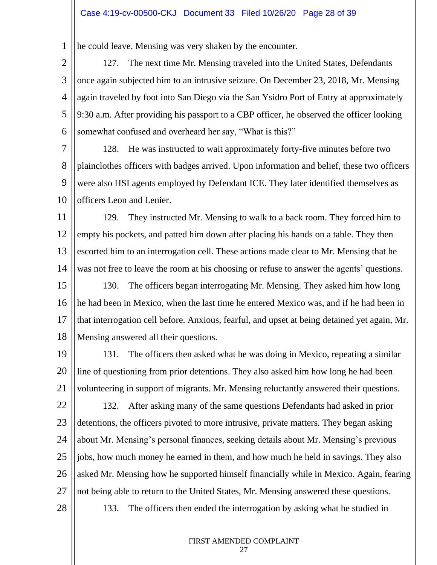1 he could leave. Mensing was very shaken by the encounter.

2 3 4 5 6 127. The next time Mr. Mensing traveled into the United States, Defendants once again subjected him to an intrusive seizure. On December 23, 2018, Mr. Mensing again traveled by foot into San Diego via the San Ysidro Port of Entry at approximately 9:30 a.m. After providing his passport to a CBP officer, he observed the officer looking somewhat confused and overheard her say, "What is this?"

7 8 9 10 128. He was instructed to wait approximately forty-five minutes before two plainclothes officers with badges arrived. Upon information and belief, these two officers were also HSI agents employed by Defendant ICE. They later identified themselves as officers Leon and Lenier.

11 12 13 14 15 16 17 18 129. They instructed Mr. Mensing to walk to a back room. They forced him to empty his pockets, and patted him down after placing his hands on a table. They then escorted him to an interrogation cell. These actions made clear to Mr. Mensing that he was not free to leave the room at his choosing or refuse to answer the agents' questions. 130. The officers began interrogating Mr. Mensing. They asked him how long he had been in Mexico, when the last time he entered Mexico was, and if he had been in that interrogation cell before. Anxious, fearful, and upset at being detained yet again, Mr. Mensing answered all their questions.

19 20 21 131. The officers then asked what he was doing in Mexico, repeating a similar line of questioning from prior detentions. They also asked him how long he had been volunteering in support of migrants. Mr. Mensing reluctantly answered their questions.

22 23 24 25 26 27 28 132. After asking many of the same questions Defendants had asked in prior detentions, the officers pivoted to more intrusive, private matters. They began asking about Mr. Mensing's personal finances, seeking details about Mr. Mensing's previous jobs, how much money he earned in them, and how much he held in savings. They also asked Mr. Mensing how he supported himself financially while in Mexico. Again, fearing not being able to return to the United States, Mr. Mensing answered these questions. 133. The officers then ended the interrogation by asking what he studied in

# FIRST AMENDED COMPLAINT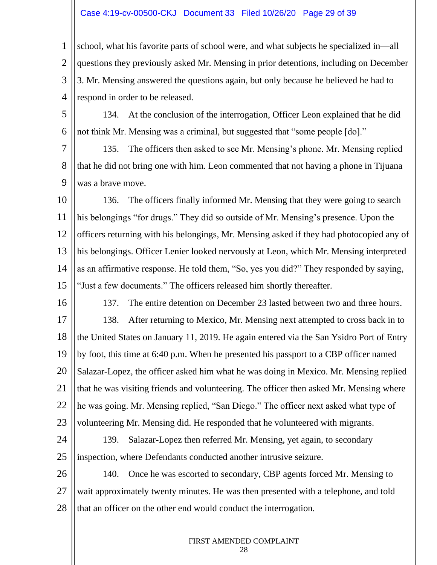### Case 4:19-cv-00500-CKJ Document 33 Filed 10/26/20 Page 29 of 39

1 2 3 4 school, what his favorite parts of school were, and what subjects he specialized in—all questions they previously asked Mr. Mensing in prior detentions, including on December 3. Mr. Mensing answered the questions again, but only because he believed he had to respond in order to be released.

5 6 134. At the conclusion of the interrogation, Officer Leon explained that he did not think Mr. Mensing was a criminal, but suggested that "some people [do]."

7 8 9 135. The officers then asked to see Mr. Mensing's phone. Mr. Mensing replied that he did not bring one with him. Leon commented that not having a phone in Tijuana was a brave move.

10 11 12 13 14 15 136. The officers finally informed Mr. Mensing that they were going to search his belongings "for drugs." They did so outside of Mr. Mensing's presence. Upon the officers returning with his belongings, Mr. Mensing asked if they had photocopied any of his belongings. Officer Lenier looked nervously at Leon, which Mr. Mensing interpreted as an affirmative response. He told them, "So, yes you did?" They responded by saying, "Just a few documents." The officers released him shortly thereafter.

- 16 17 18 19 20 21 22 23 137. The entire detention on December 23 lasted between two and three hours. 138. After returning to Mexico, Mr. Mensing next attempted to cross back in to the United States on January 11, 2019. He again entered via the San Ysidro Port of Entry by foot, this time at 6:40 p.m. When he presented his passport to a CBP officer named Salazar-Lopez, the officer asked him what he was doing in Mexico. Mr. Mensing replied that he was visiting friends and volunteering. The officer then asked Mr. Mensing where he was going. Mr. Mensing replied, "San Diego." The officer next asked what type of volunteering Mr. Mensing did. He responded that he volunteered with migrants.
- 24 25 139. Salazar-Lopez then referred Mr. Mensing, yet again, to secondary inspection, where Defendants conducted another intrusive seizure.

26 27 28 140. Once he was escorted to secondary, CBP agents forced Mr. Mensing to wait approximately twenty minutes. He was then presented with a telephone, and told that an officer on the other end would conduct the interrogation.

# FIRST AMENDED COMPLAINT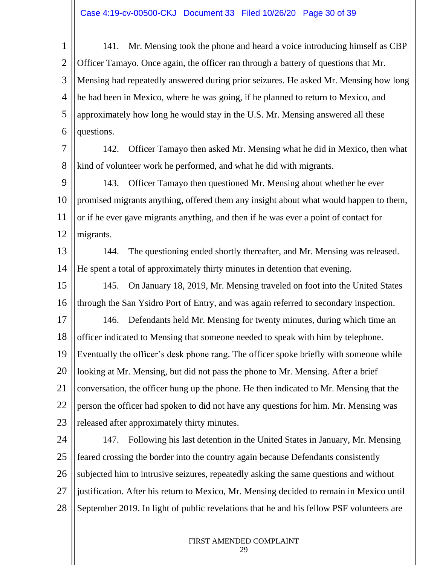1 2 3 4 5 6 141. Mr. Mensing took the phone and heard a voice introducing himself as CBP Officer Tamayo. Once again, the officer ran through a battery of questions that Mr. Mensing had repeatedly answered during prior seizures. He asked Mr. Mensing how long he had been in Mexico, where he was going, if he planned to return to Mexico, and approximately how long he would stay in the U.S. Mr. Mensing answered all these questions.

7 8 142. Officer Tamayo then asked Mr. Mensing what he did in Mexico, then what kind of volunteer work he performed, and what he did with migrants.

9 10 11 12 143. Officer Tamayo then questioned Mr. Mensing about whether he ever promised migrants anything, offered them any insight about what would happen to them, or if he ever gave migrants anything, and then if he was ever a point of contact for migrants.

13 14 144. The questioning ended shortly thereafter, and Mr. Mensing was released. He spent a total of approximately thirty minutes in detention that evening.

15 16 17 18 19 20 21 22 23 145. On January 18, 2019, Mr. Mensing traveled on foot into the United States through the San Ysidro Port of Entry, and was again referred to secondary inspection. 146. Defendants held Mr. Mensing for twenty minutes, during which time an officer indicated to Mensing that someone needed to speak with him by telephone. Eventually the officer's desk phone rang. The officer spoke briefly with someone while looking at Mr. Mensing, but did not pass the phone to Mr. Mensing. After a brief conversation, the officer hung up the phone. He then indicated to Mr. Mensing that the person the officer had spoken to did not have any questions for him. Mr. Mensing was released after approximately thirty minutes.

24 25 26 27 28 147. Following his last detention in the United States in January, Mr. Mensing feared crossing the border into the country again because Defendants consistently subjected him to intrusive seizures, repeatedly asking the same questions and without justification. After his return to Mexico, Mr. Mensing decided to remain in Mexico until September 2019. In light of public revelations that he and his fellow PSF volunteers are

FIRST AMENDED COMPLAINT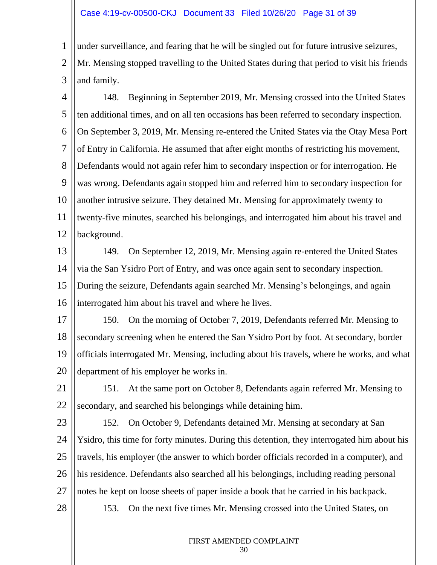### Case 4:19-cv-00500-CKJ Document 33 Filed 10/26/20 Page 31 of 39

1 2 3 under surveillance, and fearing that he will be singled out for future intrusive seizures, Mr. Mensing stopped travelling to the United States during that period to visit his friends and family.

4 5 6 7 8 9 10 11 12 148. Beginning in September 2019, Mr. Mensing crossed into the United States ten additional times, and on all ten occasions has been referred to secondary inspection. On September 3, 2019, Mr. Mensing re-entered the United States via the Otay Mesa Port of Entry in California. He assumed that after eight months of restricting his movement, Defendants would not again refer him to secondary inspection or for interrogation. He was wrong. Defendants again stopped him and referred him to secondary inspection for another intrusive seizure. They detained Mr. Mensing for approximately twenty to twenty-five minutes, searched his belongings, and interrogated him about his travel and background.

13 14 15 16 149. On September 12, 2019, Mr. Mensing again re-entered the United States via the San Ysidro Port of Entry, and was once again sent to secondary inspection. During the seizure, Defendants again searched Mr. Mensing's belongings, and again interrogated him about his travel and where he lives.

- 17 18 19 20 150. On the morning of October 7, 2019, Defendants referred Mr. Mensing to secondary screening when he entered the San Ysidro Port by foot. At secondary, border officials interrogated Mr. Mensing, including about his travels, where he works, and what department of his employer he works in.
- 21 22 151. At the same port on October 8, Defendants again referred Mr. Mensing to secondary, and searched his belongings while detaining him.

23 24 25 26 27 28 152. On October 9, Defendants detained Mr. Mensing at secondary at San Ysidro, this time for forty minutes. During this detention, they interrogated him about his travels, his employer (the answer to which border officials recorded in a computer), and his residence. Defendants also searched all his belongings, including reading personal notes he kept on loose sheets of paper inside a book that he carried in his backpack. 153. On the next five times Mr. Mensing crossed into the United States, on

# FIRST AMENDED COMPLAINT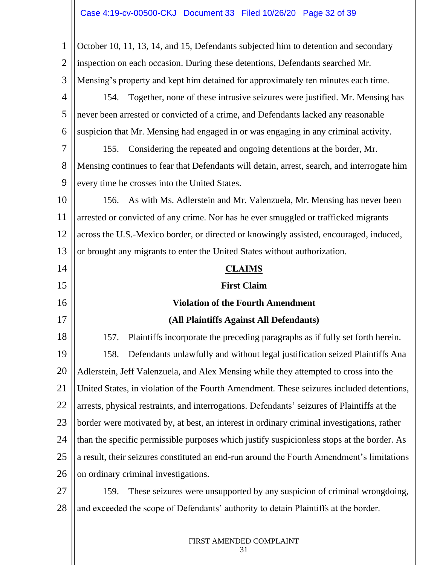FIRST AMENDED COMPLAINT 1 2 3 4 5 6 7 8 9 10 11 12 13 14 15 16 17 18 19 20 21 22 23 24 25 26 27 28 October 10, 11, 13, 14, and 15, Defendants subjected him to detention and secondary inspection on each occasion. During these detentions, Defendants searched Mr. Mensing's property and kept him detained for approximately ten minutes each time. 154. Together, none of these intrusive seizures were justified. Mr. Mensing has never been arrested or convicted of a crime, and Defendants lacked any reasonable suspicion that Mr. Mensing had engaged in or was engaging in any criminal activity. 155. Considering the repeated and ongoing detentions at the border, Mr. Mensing continues to fear that Defendants will detain, arrest, search, and interrogate him every time he crosses into the United States. 156. As with Ms. Adlerstein and Mr. Valenzuela, Mr. Mensing has never been arrested or convicted of any crime. Nor has he ever smuggled or trafficked migrants across the U.S.-Mexico border, or directed or knowingly assisted, encouraged, induced, or brought any migrants to enter the United States without authorization. **CLAIMS First Claim Violation of the Fourth Amendment (All Plaintiffs Against All Defendants)** 157. Plaintiffs incorporate the preceding paragraphs as if fully set forth herein. 158. Defendants unlawfully and without legal justification seized Plaintiffs Ana Adlerstein, Jeff Valenzuela, and Alex Mensing while they attempted to cross into the United States, in violation of the Fourth Amendment. These seizures included detentions, arrests, physical restraints, and interrogations. Defendants' seizures of Plaintiffs at the border were motivated by, at best, an interest in ordinary criminal investigations, rather than the specific permissible purposes which justify suspicionless stops at the border. As a result, their seizures constituted an end-run around the Fourth Amendment's limitations on ordinary criminal investigations. 159. These seizures were unsupported by any suspicion of criminal wrongdoing, and exceeded the scope of Defendants' authority to detain Plaintiffs at the border.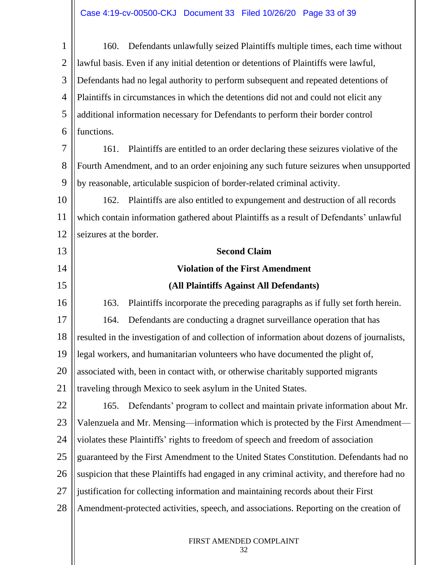1 2 3 4 5 6 7 8 9 10 11 12 13 14 15 16 17 18 19 20 21 22 23 24 25 26 27 28 160. Defendants unlawfully seized Plaintiffs multiple times, each time without lawful basis. Even if any initial detention or detentions of Plaintiffs were lawful, Defendants had no legal authority to perform subsequent and repeated detentions of Plaintiffs in circumstances in which the detentions did not and could not elicit any additional information necessary for Defendants to perform their border control functions. 161. Plaintiffs are entitled to an order declaring these seizures violative of the Fourth Amendment, and to an order enjoining any such future seizures when unsupported by reasonable, articulable suspicion of border-related criminal activity. 162. Plaintiffs are also entitled to expungement and destruction of all records which contain information gathered about Plaintiffs as a result of Defendants' unlawful seizures at the border. **Second Claim Violation of the First Amendment (All Plaintiffs Against All Defendants)** 163. Plaintiffs incorporate the preceding paragraphs as if fully set forth herein. 164. Defendants are conducting a dragnet surveillance operation that has resulted in the investigation of and collection of information about dozens of journalists, legal workers, and humanitarian volunteers who have documented the plight of, associated with, been in contact with, or otherwise charitably supported migrants traveling through Mexico to seek asylum in the United States. 165. Defendants' program to collect and maintain private information about Mr. Valenzuela and Mr. Mensing—information which is protected by the First Amendment violates these Plaintiffs' rights to freedom of speech and freedom of association guaranteed by the First Amendment to the United States Constitution. Defendants had no suspicion that these Plaintiffs had engaged in any criminal activity, and therefore had no justification for collecting information and maintaining records about their First Amendment-protected activities, speech, and associations. Reporting on the creation of

# FIRST AMENDED COMPLAINT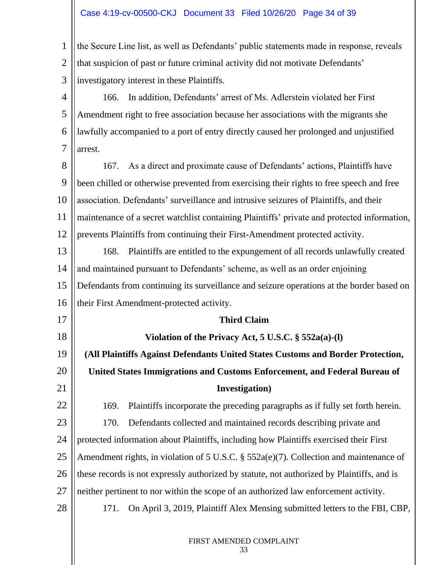1 2 3 4 5 6 7 8 9 10 11 12 13 14 15 16 17 18 19 20 21 22 23 24 25 26 27 28 the Secure Line list, as well as Defendants' public statements made in response, reveals that suspicion of past or future criminal activity did not motivate Defendants' investigatory interest in these Plaintiffs. 166. In addition, Defendants' arrest of Ms. Adlerstein violated her First Amendment right to free association because her associations with the migrants she lawfully accompanied to a port of entry directly caused her prolonged and unjustified arrest. 167. As a direct and proximate cause of Defendants' actions, Plaintiffs have been chilled or otherwise prevented from exercising their rights to free speech and free association. Defendants' surveillance and intrusive seizures of Plaintiffs, and their maintenance of a secret watchlist containing Plaintiffs' private and protected information, prevents Plaintiffs from continuing their First-Amendment protected activity. 168. Plaintiffs are entitled to the expungement of all records unlawfully created and maintained pursuant to Defendants' scheme, as well as an order enjoining Defendants from continuing its surveillance and seizure operations at the border based on their First Amendment-protected activity. **Third Claim Violation of the Privacy Act, 5 U.S.C. § 552a(a)-(l) (All Plaintiffs Against Defendants United States Customs and Border Protection, United States Immigrations and Customs Enforcement, and Federal Bureau of Investigation)** 169. Plaintiffs incorporate the preceding paragraphs as if fully set forth herein. 170. Defendants collected and maintained records describing private and protected information about Plaintiffs, including how Plaintiffs exercised their First Amendment rights, in violation of 5 U.S.C. § 552a(e)(7). Collection and maintenance of these records is not expressly authorized by statute, not authorized by Plaintiffs, and is neither pertinent to nor within the scope of an authorized law enforcement activity. 171. On April 3, 2019, Plaintiff Alex Mensing submitted letters to the FBI, CBP,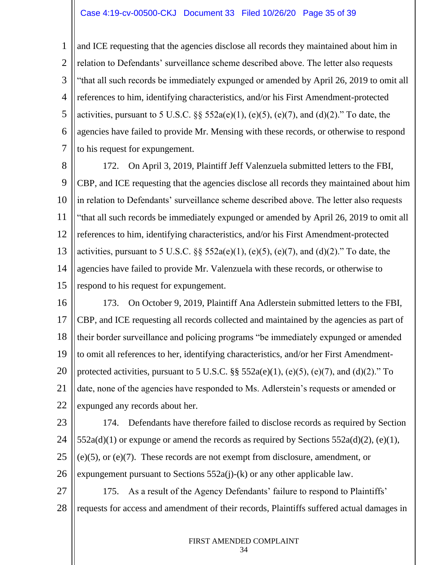### Case 4:19-cv-00500-CKJ Document 33 Filed 10/26/20 Page 35 of 39

1 2 3 4 5 6 7 and ICE requesting that the agencies disclose all records they maintained about him in relation to Defendants' surveillance scheme described above. The letter also requests "that all such records be immediately expunged or amended by April 26, 2019 to omit all references to him, identifying characteristics, and/or his First Amendment-protected activities, pursuant to 5 U.S.C.  $\S$  552a(e)(1), (e)(5), (e)(7), and (d)(2)." To date, the agencies have failed to provide Mr. Mensing with these records, or otherwise to respond to his request for expungement.

8 9 10 11 12 13 14 15 172. On April 3, 2019, Plaintiff Jeff Valenzuela submitted letters to the FBI, CBP, and ICE requesting that the agencies disclose all records they maintained about him in relation to Defendants' surveillance scheme described above. The letter also requests "that all such records be immediately expunged or amended by April 26, 2019 to omit all references to him, identifying characteristics, and/or his First Amendment-protected activities, pursuant to 5 U.S.C.  $\S$   $\S$   $552a(e)(1)$ , (e)(5), (e)(7), and (d)(2)." To date, the agencies have failed to provide Mr. Valenzuela with these records, or otherwise to respond to his request for expungement.

- 16 17 18 19 20 21 22 173. On October 9, 2019, Plaintiff Ana Adlerstein submitted letters to the FBI, CBP, and ICE requesting all records collected and maintained by the agencies as part of their border surveillance and policing programs "be immediately expunged or amended to omit all references to her, identifying characteristics, and/or her First Amendmentprotected activities, pursuant to 5 U.S.C.  $\S$   $\S$   $552a(e)(1)$ , (e)(5), (e)(7), and (d)(2)." To date, none of the agencies have responded to Ms. Adlerstein's requests or amended or expunged any records about her.
- 23

24 25 26 174. Defendants have therefore failed to disclose records as required by Section  $552a(d)(1)$  or expunge or amend the records as required by Sections  $552a(d)(2)$ , (e)(1), (e)(5), or (e)(7). These records are not exempt from disclosure, amendment, or expungement pursuant to Sections  $552a(i)$ -(k) or any other applicable law.

27 28 175. As a result of the Agency Defendants' failure to respond to Plaintiffs' requests for access and amendment of their records, Plaintiffs suffered actual damages in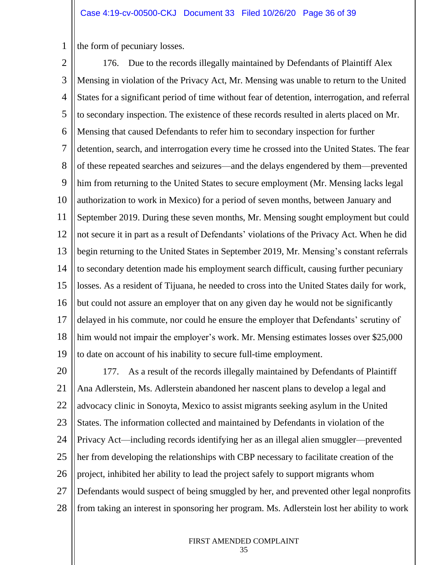1 the form of pecuniary losses.

2 3 4 5 6 7 8 9 10 11 12 13 14 15 16 17 18 19 176. Due to the records illegally maintained by Defendants of Plaintiff Alex Mensing in violation of the Privacy Act, Mr. Mensing was unable to return to the United States for a significant period of time without fear of detention, interrogation, and referral to secondary inspection. The existence of these records resulted in alerts placed on Mr. Mensing that caused Defendants to refer him to secondary inspection for further detention, search, and interrogation every time he crossed into the United States. The fear of these repeated searches and seizures—and the delays engendered by them—prevented him from returning to the United States to secure employment (Mr. Mensing lacks legal authorization to work in Mexico) for a period of seven months, between January and September 2019. During these seven months, Mr. Mensing sought employment but could not secure it in part as a result of Defendants' violations of the Privacy Act. When he did begin returning to the United States in September 2019, Mr. Mensing's constant referrals to secondary detention made his employment search difficult, causing further pecuniary losses. As a resident of Tijuana, he needed to cross into the United States daily for work, but could not assure an employer that on any given day he would not be significantly delayed in his commute, nor could he ensure the employer that Defendants' scrutiny of him would not impair the employer's work. Mr. Mensing estimates losses over \$25,000 to date on account of his inability to secure full-time employment.

20 21 22 23 24 25 26 27 28 177. As a result of the records illegally maintained by Defendants of Plaintiff Ana Adlerstein, Ms. Adlerstein abandoned her nascent plans to develop a legal and advocacy clinic in Sonoyta, Mexico to assist migrants seeking asylum in the United States. The information collected and maintained by Defendants in violation of the Privacy Act—including records identifying her as an illegal alien smuggler—prevented her from developing the relationships with CBP necessary to facilitate creation of the project, inhibited her ability to lead the project safely to support migrants whom Defendants would suspect of being smuggled by her, and prevented other legal nonprofits from taking an interest in sponsoring her program. Ms. Adlerstein lost her ability to work

FIRST AMENDED COMPLAINT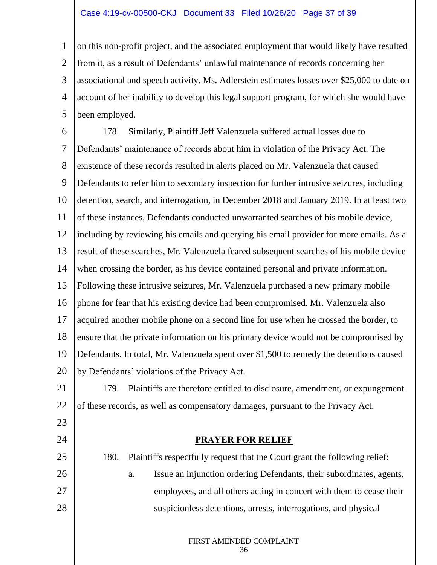### Case 4:19-cv-00500-CKJ Document 33 Filed 10/26/20 Page 37 of 39

1 2 3 4 5 on this non-profit project, and the associated employment that would likely have resulted from it, as a result of Defendants' unlawful maintenance of records concerning her associational and speech activity. Ms. Adlerstein estimates losses over \$25,000 to date on account of her inability to develop this legal support program, for which she would have been employed.

6 7 8 9 10 11 12 13 14 15 16 17 18 19 20 178. Similarly, Plaintiff Jeff Valenzuela suffered actual losses due to Defendants' maintenance of records about him in violation of the Privacy Act. The existence of these records resulted in alerts placed on Mr. Valenzuela that caused Defendants to refer him to secondary inspection for further intrusive seizures, including detention, search, and interrogation, in December 2018 and January 2019. In at least two of these instances, Defendants conducted unwarranted searches of his mobile device, including by reviewing his emails and querying his email provider for more emails. As a result of these searches, Mr. Valenzuela feared subsequent searches of his mobile device when crossing the border, as his device contained personal and private information. Following these intrusive seizures, Mr. Valenzuela purchased a new primary mobile phone for fear that his existing device had been compromised. Mr. Valenzuela also acquired another mobile phone on a second line for use when he crossed the border, to ensure that the private information on his primary device would not be compromised by Defendants. In total, Mr. Valenzuela spent over \$1,500 to remedy the detentions caused by Defendants' violations of the Privacy Act.

21 22 179. Plaintiffs are therefore entitled to disclosure, amendment, or expungement of these records, as well as compensatory damages, pursuant to the Privacy Act.

23

24

25

26

27

28

### **PRAYER FOR RELIEF**

180. Plaintiffs respectfully request that the Court grant the following relief: a. Issue an injunction ordering Defendants, their subordinates, agents, employees, and all others acting in concert with them to cease their suspicionless detentions, arrests, interrogations, and physical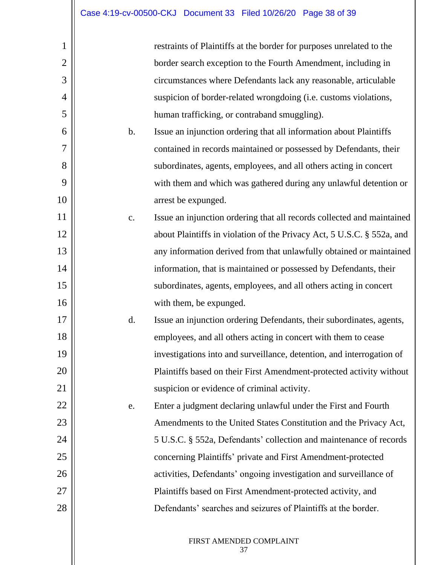1 2 3 4 5 6 7 8 9 10 11 12 13 14 15 16 17 18 19 20 21 22 23 24 25 26 27 28 restraints of Plaintiffs at the border for purposes unrelated to the border search exception to the Fourth Amendment, including in circumstances where Defendants lack any reasonable, articulable suspicion of border-related wrongdoing (i.e. customs violations, human trafficking, or contraband smuggling). b. Issue an injunction ordering that all information about Plaintiffs contained in records maintained or possessed by Defendants, their subordinates, agents, employees, and all others acting in concert with them and which was gathered during any unlawful detention or arrest be expunged. c. Issue an injunction ordering that all records collected and maintained about Plaintiffs in violation of the Privacy Act, 5 U.S.C. § 552a, and any information derived from that unlawfully obtained or maintained information, that is maintained or possessed by Defendants, their subordinates, agents, employees, and all others acting in concert with them, be expunged. d. Issue an injunction ordering Defendants, their subordinates, agents, employees, and all others acting in concert with them to cease investigations into and surveillance, detention, and interrogation of Plaintiffs based on their First Amendment-protected activity without suspicion or evidence of criminal activity. e. Enter a judgment declaring unlawful under the First and Fourth Amendments to the United States Constitution and the Privacy Act, 5 U.S.C. § 552a, Defendants' collection and maintenance of records concerning Plaintiffs' private and First Amendment-protected activities, Defendants' ongoing investigation and surveillance of Plaintiffs based on First Amendment-protected activity, and Defendants' searches and seizures of Plaintiffs at the border.

FIRST AMENDED COMPLAINT